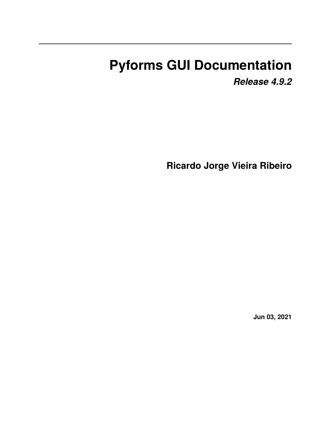# **Pyforms GUI Documentation**

*Release 4.9.2*

**Ricardo Jorge Vieira Ribeiro**

**Jun 03, 2021**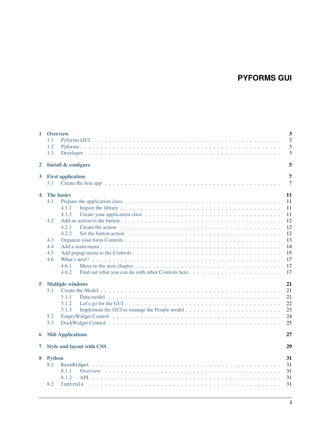# **PYFORMS GUI**

| 1           | <b>Overview</b>                  | 3              |
|-------------|----------------------------------|----------------|
|             | 1.1<br>1.2<br>1.3                | 3<br>3<br>3    |
| 2           | Install & configure              | 5              |
| $3^{\circ}$ | <b>First application</b>         | 7              |
|             | 3.1                              | $\overline{7}$ |
| 4           | The basics                       | 11             |
|             | 4.1<br>4.1.1<br>4.1.2            | 11<br>11<br>11 |
|             | 4.2<br>4.2.1                     | 12<br>12       |
|             | 4.2.2.                           | 12             |
|             | 4.3                              | 13             |
|             | 4.4                              | 14             |
|             | 4.5<br>4.6                       | 15             |
|             | 4.6.1                            | 17<br>17       |
|             | 4.6.2                            | 17             |
| 5           | <b>Multiple windows</b>          | 21             |
|             | 5.1                              | 21             |
|             | 5.1.1                            | 21             |
|             | 5.1.2                            | 22             |
|             | 5.1.3                            | 23             |
|             | 5.2                              | 24<br>25       |
|             | 5.3                              |                |
| 6           | 27<br><b>Mdi Applications</b>    |                |
| 7           | <b>Style and layout with CSS</b> | 29             |
| 8           | Python<br>8.1<br>8.1.1           | 31<br>31<br>31 |
|             | 8.1.2                            | 31             |
|             | 8.2<br>Controls                  | 31             |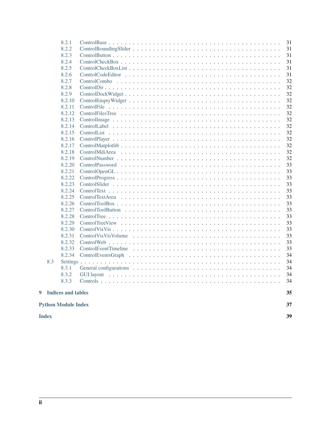|   | <b>Index</b> |                            |                     | 39 |
|---|--------------|----------------------------|---------------------|----|
|   |              | <b>Python Module Index</b> |                     | 37 |
| 9 |              | <b>Indices and tables</b>  |                     | 35 |
|   |              | 8.3.3                      |                     | 34 |
|   |              | 8.3.2                      |                     | 34 |
|   |              | 8.3.1                      |                     | 34 |
|   | 8.3          |                            |                     | 34 |
|   |              | 8.2.34                     |                     | 34 |
|   |              | 8.2.33                     |                     | 33 |
|   |              | 8.2.32                     |                     | 33 |
|   |              | 8.2.31                     | ControlVisVisVolume | 33 |
|   |              | 8.2.30                     |                     | 33 |
|   |              | 8.2.29                     |                     | 33 |
|   |              | 8.2.28                     |                     | 33 |
|   |              | 8.2.27                     |                     | 33 |
|   |              | 8.2.26                     |                     | 33 |
|   |              | 8.2.25                     |                     | 33 |
|   |              | 8.2.24                     |                     | 33 |
|   |              | 8.2.23                     |                     | 33 |
|   |              | 8.2.22                     |                     | 33 |
|   |              | 8.2.21                     |                     | 33 |
|   |              | 8.2.20                     |                     | 33 |
|   |              | 8.2.19                     |                     | 32 |
|   |              | 8.2.18                     |                     | 32 |
|   |              | 8.2.17                     |                     | 32 |
|   |              | 8.2.16                     |                     | 32 |
|   |              | 8.2.15                     |                     | 32 |
|   |              | 8.2.14                     |                     | 32 |
|   |              | 8.2.13                     |                     | 32 |
|   |              | 8.2.12                     |                     | 32 |
|   |              | 8.2.11                     |                     | 32 |
|   |              | 8.2.10                     |                     | 32 |
|   |              | 8.2.9                      |                     | 32 |
|   |              | 8.2.8                      |                     | 32 |
|   |              | 8.2.7                      |                     | 32 |
|   |              | 8.2.6                      |                     | 31 |
|   |              | 8.2.5                      |                     | 31 |
|   |              | 8.2.4                      |                     | 31 |
|   |              | 8.2.3                      |                     | 31 |
|   |              | 8.2.2                      |                     | 31 |
|   |              | 8.2.1                      |                     | 31 |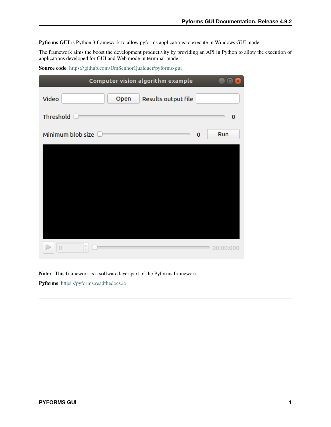**Pyforms GUI** is Python 3 framework to allow pyforms applications to execute in Windows GUI mode.

The framework aims the boost the development productivity by providing an API in Python to allow the execution of applications developed for GUI and Web mode in terminal mode.

|  | Source code https://github.com/UmSenhorQualquer/pyforms-gui |  |  |  |
|--|-------------------------------------------------------------|--|--|--|
|--|-------------------------------------------------------------|--|--|--|

| Computer vision algorithm example    |   | ×         |
|--------------------------------------|---|-----------|
| Video<br>Open<br>Results output file |   |           |
| Threshold                            |   |           |
| Minimum blob size                    | 0 | Run       |
|                                      |   |           |
|                                      |   |           |
|                                      |   |           |
|                                      |   |           |
|                                      |   |           |
| ×.<br>O                              |   | 00:00:000 |

**Note:** This framework is a software layer part of the Pyforms framework.

**Pyforms** <https://pyforms.readthedocs.io>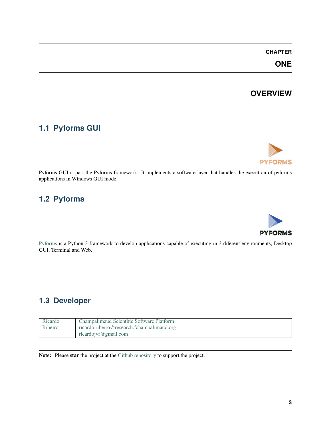# **ONE**

# **OVERVIEW**

# <span id="page-6-1"></span><span id="page-6-0"></span>**1.1 Pyforms GUI**



Pyforms GUI is part the Pyforms framework. It implements a software layer that handles the execution of pyforms applications in Windows GUI mode.

# <span id="page-6-2"></span>**1.2 Pyforms**



[Pyforms](http://pyforms.readthedocs.io/) is a Python 3 framework to develop applications capable of executing in 3 diferent environments, Desktop GUI, Terminal and Web.

# <span id="page-6-3"></span>**1.3 Developer**

| Ricardo | Champalimaud Scientific Software Platform  |
|---------|--------------------------------------------|
| Ribeiro | ricardo.ribeiro@research.fchampalimaud.org |
|         | ricardojvr@gmail.com                       |

**Note:** Please **star** the project at the [Github repository](https://github.com/UmSenhorQualquer/pyforms-terminal/) to support the project.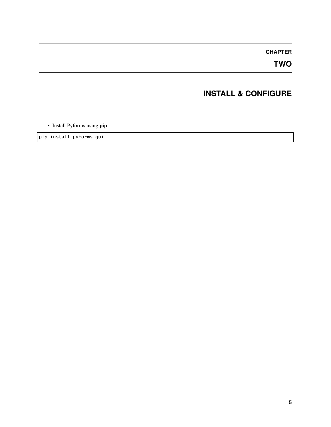**TWO**

# **INSTALL & CONFIGURE**

<span id="page-8-0"></span>• Install Pyforms using **pip**.

pip install pyforms-gui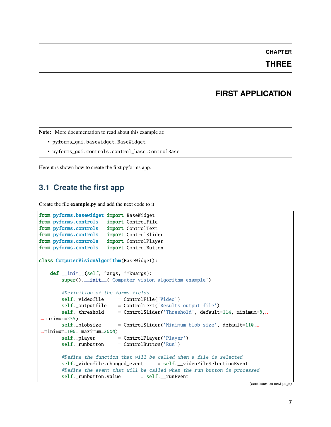### **THREE**

# **FIRST APPLICATION**

<span id="page-10-0"></span>**Note:** More documentation to read about this example at:

- pyforms\_gui.basewidget.BaseWidget
- pyforms\_gui.controls.control\_base.ControlBase

Here it is shown how to create the first pyforms app.

# <span id="page-10-1"></span>**3.1 Create the first app**

Create the file **example.py** and add the next code to it.

```
from pyforms.basewidget import BaseWidget
from pyforms.controls import ControlFile
from pyforms.controls import ControlText
from pyforms.controls import ControlSlider
from pyforms.controls import ControlPlayer
from pyforms.controls import ControlButton
class ComputerVisionAlgorithm(BaseWidget):
   def __init__(self, *args, **kwargs):
       super().__init__('Computer vision algorithm example')
       #Definition of the forms fields
       self._videofile = ControlFile('Video')
       self._outputfile = ControlText('Results output file')
       self._threshold = ControlSlider('Threshold', default=114, minimum=0,.
\rightarrowmaximum=255)
       self._blobsize = ControlSlider('Minimum blob size', default=110,.
˓→minimum=100, maximum=2000)
       self._player = ControlPlayer('Player')
       self.runbutton = Controller("Run')#Define the function that will be called when a file is selected
       self._videofile.changed_event = self.__videoFileSelectionEvent
       #Define the event that will be called when the run button is processed
       self._runbutton.value = self.__runEvent
```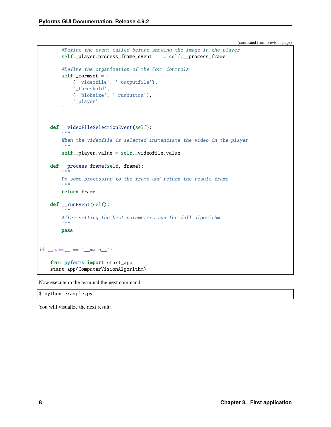```
(continued from previous page)
```

```
#Define the event called before showing the image in the player
        self._player.process_frame_event = self.__process_frame
        #Define the organization of the Form Controls
        self._<b>formset</b> = [('_videofile', '_outputfile'),
            '_threshold',
            ('_blobsize', '_runbutton'),
            '_player'
        ]
    def __videoFileSelectionEvent(self):
        "''"When the videofile is selected instanciate the video in the player
        "''"self._player.value = self._videofile.value
    def __process_frame(self, frame):
        "''"Do some processing to the frame and return the result frame
        "''"''"return frame
    def __runEvent(self):
        "''"After setting the best parameters run the full algorithm
        "''"''"pass
if _name__ == ' _main_':
    from pyforms import start_app
    start_app(ComputerVisionAlgorithm)
```
Now execute in the terminal the next command:

\$ python example.py

You will visualize the next result: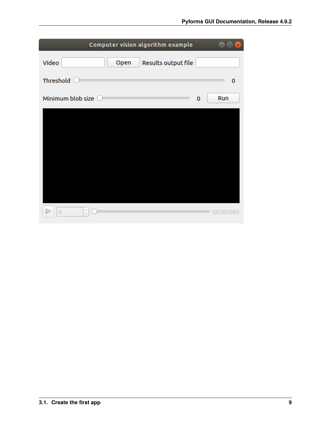| Computer vision algorithm example    |          |           |
|--------------------------------------|----------|-----------|
| Video<br>Results output file<br>Open |          |           |
| Threshold                            |          | o         |
| Minimum blob size                    | $\Omega$ | Run       |
|                                      |          |           |
|                                      |          |           |
|                                      |          |           |
|                                      |          |           |
|                                      |          |           |
| a.<br>$\Omega$<br>÷                  |          | 00:00:000 |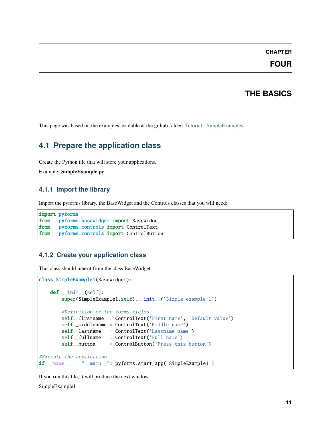# **FOUR**

# **THE BASICS**

<span id="page-14-0"></span>This page was based on the examples available at the github folder: [Tutorial - SimpleExamples](https://github.com/UmSenhorQualquer/pyforms/tree/master/tutorials/1.SimpleExamples)

# <span id="page-14-1"></span>**4.1 Prepare the application class**

Create the Python file that will store your applications.

Example: **SimpleExample.py**

# <span id="page-14-2"></span>**4.1.1 Import the library**

Import the pyforms library, the BaseWidget and the Controls classes that you will need:

```
import pyforms
from pyforms.basewidget import BaseWidget
from pyforms.controls import ControlText
from pyforms.controls import ControlButton
```
# <span id="page-14-3"></span>**4.1.2 Create your application class**

This class should inherit from the class BaseWidget.

```
class SimpleExample1(BaseWidget):
   def __init__(self):
       super(SimpleExample1,self).__init__('Simple example 1')
       #Definition of the forms fields
       self._firstname = ControlText('First name', 'Default value')
       self._middlename = ControlText('Middle name')
       self._lastname = ControlText('Lastname name')
       self._fullname = ControlText('Full name')
       self._button = ControlButton('Press this button')
#Execute the application
if __name__ == "__main__": pyforms.start_app( SimpleExample1 )
```
If you run this file, it will produce the next window.

SimpleExample1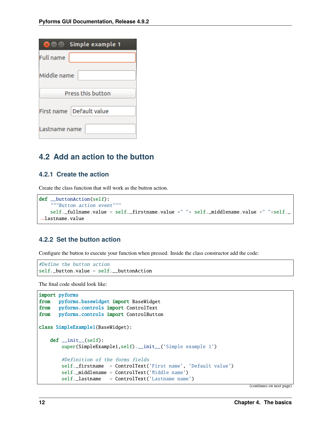| <b>●</b> Simple example 1<br>$\times$ |  |  |  |
|---------------------------------------|--|--|--|
| Full name                             |  |  |  |
| Middle name                           |  |  |  |
| <b>Press this button</b>              |  |  |  |
| First name Default value              |  |  |  |
| Lastname name                         |  |  |  |

# <span id="page-15-0"></span>**4.2 Add an action to the button**

#### <span id="page-15-1"></span>**4.2.1 Create the action**

Create the class function that will work as the button action.

```
def __buttonAction(self):
    """Button action event"""
   self._fullname.value = self._firstname.value +" "+ self._middlename.value +" "+self._
˓→lastname.value
```
### <span id="page-15-2"></span>**4.2.2 Set the button action**

Configure the button to execute your function when pressed. Inside the class constructor add the code:

```
#Define the button action
self._button.value = self.__buttonAction
```
The final code should look like:

```
import pyforms
from pyforms.basewidget import BaseWidget
from pyforms.controls import ControlText
from pyforms.controls import ControlButton
class SimpleExample1(BaseWidget):
   def __init__(self):
       super(SimpleExample1,self).__init__('Simple example 1')
       #Definition of the forms fields
       self._firstname = ControlText('First name', 'Default value')
       self._middlename = ControlText('Middle name')
       self._lastname = ControlText('Lastname name')
```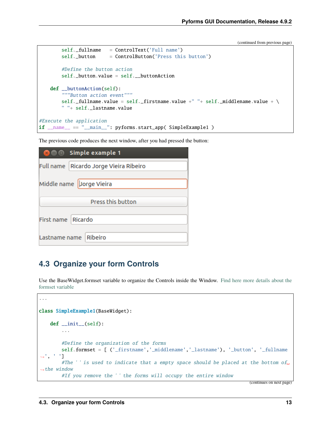```
self._fullname = ControlText('Full name')
        self._button = ControlButton('Press this button')
        #Define the button action
       self._button.value = self.__buttonAction
   def __buttonAction(self):
        """Button action event"""
       self._fullname.value = self._firstname.value +" "+ self._middlename.value + \
        " "+ self._lastname.value
#Execute the application
if __name__ == "__main__": pyforms.start_app( SimpleExample1 )
```
The previous code produces the next window, after you had pressed the button:

| <b>O</b> Simple example 1                |  |  |  |  |
|------------------------------------------|--|--|--|--|
| Full name   Ricardo Jorge Vieira Ribeiro |  |  |  |  |
| Middle name   Jorge Vieira               |  |  |  |  |
| Press this button                        |  |  |  |  |
| First name Ricardo                       |  |  |  |  |
| Ribeiro<br>Lastname name                 |  |  |  |  |

# <span id="page-16-0"></span>**4.3 Organize your form Controls**

Use the BaseWidget.formset variable to organize the Controls inside the Window. [Find here more details about the](http://pyforms.readthedocs.org/en/latest/api-documentation/basewidget/#important-variables) [formset variable](http://pyforms.readthedocs.org/en/latest/api-documentation/basewidget/#important-variables)

```
...
class SimpleExample1(BaseWidget):
    def __init__(self):
        ...
        #Define the organization of the forms
        self.formset = [ ('_firstname','_middlename','_lastname'), '_button', '_fullname
\leftrightarrow', ' ']
        #The ' is used to indicate that a empty space should be placed at the bottom of
ightharpoonupthe window
        #If you remove the '' the forms will occupy the entire window
```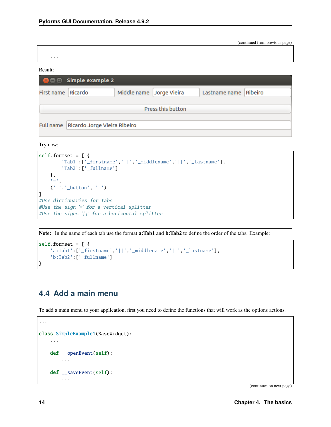Result:

...

|                    | <b>C C</b> Simple example 2                       |  |  |  |  |  |  |
|--------------------|---------------------------------------------------|--|--|--|--|--|--|
| First name Ricardo | Middle name Jorge Vieira<br>Lastname name Ribeiro |  |  |  |  |  |  |
|                    | Press this button                                 |  |  |  |  |  |  |
|                    | Full name   Ricardo Jorge Vieira Ribeiro          |  |  |  |  |  |  |

Try now:

```
self.formset = [ {
        'Tab1':['_firstname','||','_middlename','||','_lastname'],
        'Tab2':['_fullname']
    },
    '=',
    (' ','_button', ' ')
]
#Use dictionaries for tabs
#Use the sign '=' for a vertical splitter
#Use the signs '||' for a horizontal splitter
```
**Note:** In the name of each tab use the format **a:Tab1** and **b:Tab2** to define the order of the tabs. Example:

```
self.formset = [ {
    'a:Tab1':['_firstname','||','_middlename','||','_lastname'],
    'b:Tab2':['_fullname']
}
```
# <span id="page-17-0"></span>**4.4 Add a main menu**

To add a main menu to your application, first you need to define the functions that will work as the options actions.

```
...
class SimpleExample1(BaseWidget):
    ...
    def __openEvent(self):
        ...
    def __saveEvent(self):
        ...
```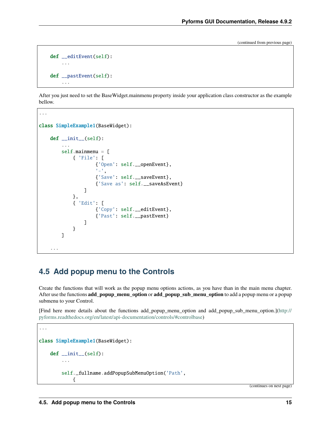```
def __editEvent(self):
    ...
def __pastEvent(self):
    ...
```
After you just need to set the BaseWidget.mainmenu property inside your application class constructor as the example bellow.

```
...
class SimpleExample1(BaseWidget):
    def __init__(self):
        ...
        self.mainmenu = [
            { 'File': [
                     {'Open': self.__openEvent},
                     ' - ' ,
                     {'Save': self.__saveEvent},
                     {'Save as': self.__saveAsEvent}
                ]
            },
            { 'Edit': [
                     {'Copy': self.__editEvent},
                     {'Past': self.__pastEvent}
                 ]
            }
        ]
    ...
```
# <span id="page-18-0"></span>**4.5 Add popup menu to the Controls**

Create the functions that will work as the popup menu options actions, as you have than in the main menu chapter. After use the functions **add\_popup\_menu\_option** or **add\_popup\_sub\_menu\_option** to add a popup menu or a popup submenu to your Control.

[Find here more details about the functions add\_popup\_menu\_option and add\_popup\_sub\_menu\_option.][\(http://](http://pyforms.readthedocs.org/en/latest/api-documentation/controls/#controlbase) [pyforms.readthedocs.org/en/latest/api-documentation/controls/#controlbase\)](http://pyforms.readthedocs.org/en/latest/api-documentation/controls/#controlbase)

```
...
class SimpleExample1(BaseWidget):
    def __init__(self):
        ...
        self._fullname.addPopupSubMenuOption('Path',
            {
```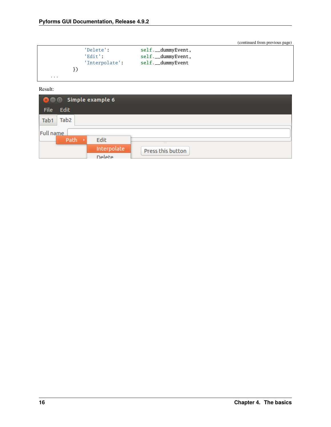```
'Delete': self.__dummyEvent,<br>'Edit': self.__dummyEvent,
                                     self.__dummyEvent,
             'Interpolate': self.__dummyEvent
         })
...
```
Result:

| <b>B</b> imple example 6 |                   |  |  |  |  |
|--------------------------|-------------------|--|--|--|--|
| Edit<br><b>File</b>      |                   |  |  |  |  |
| Tab <sub>2</sub><br>Tab1 |                   |  |  |  |  |
| Full name                |                   |  |  |  |  |
| Edit<br>Path             | $\mathbf{H}$      |  |  |  |  |
| Interpolate              | Press this button |  |  |  |  |
| Delete                   |                   |  |  |  |  |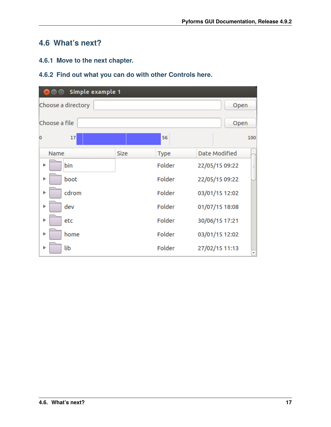# <span id="page-20-0"></span>**4.6 What's next?**

<span id="page-20-1"></span>**4.6.1 Move to the next chapter.**

# <span id="page-20-2"></span>**4.6.2 Find out what you can do with other Controls here.**

| Simple example 1<br>$\bullet$ |             |             |                |      |  |
|-------------------------------|-------------|-------------|----------------|------|--|
| Choose a directory            |             |             |                | Open |  |
| Choose a file                 |             |             |                | Open |  |
| 17<br>O                       |             | 56          |                | 100  |  |
| Name                          | <b>Size</b> | <b>Type</b> | Date Modified  |      |  |
| bin<br>Þ                      |             | Folder      | 22/05/15 09:22 | ā    |  |
| boot<br>Þ                     |             | Folder      | 22/05/15 09:22 |      |  |
| cdrom<br>Þ                    |             | Folder      | 03/01/15 12:02 |      |  |
| dev<br>Þ                      |             | Folder      | 01/07/15 18:08 |      |  |
| etc<br>Þ                      |             | Folder      | 30/06/15 17:21 |      |  |
| home<br>Þ                     |             | Folder      | 03/01/15 12:02 |      |  |
| lib<br>Þ                      |             | Folder      | 27/02/15 11:13 |      |  |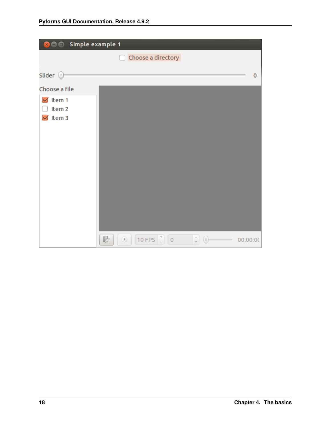| <mark>⊗⊜⊕ Simple example 1</mark>                                                                        |                                                                                             |             |
|----------------------------------------------------------------------------------------------------------|---------------------------------------------------------------------------------------------|-------------|
|                                                                                                          | Choose a directory<br>H                                                                     |             |
| Slider <sup>3</sup>                                                                                      |                                                                                             | $\mathbf 0$ |
| Choose a file<br>$\blacksquare$ Item 1<br>Item <sub>2</sub><br>Item <sub>3</sub><br>$\blacktriangledown$ |                                                                                             |             |
|                                                                                                          | $\frac{1}{2}$ 0<br>B<br>$\frac{1}{\pi}$<br><b>10 FPS</b><br>$\circledcirc$<br>⊜<br>00:00:00 |             |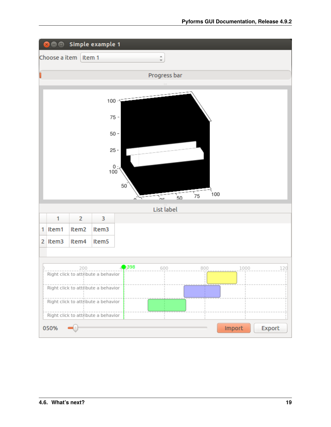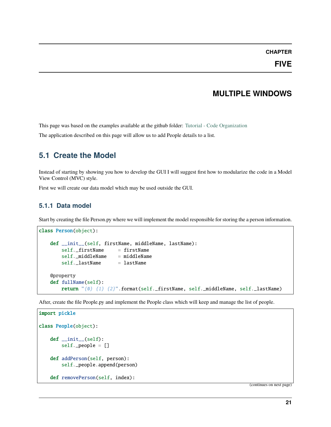# **MULTIPLE WINDOWS**

<span id="page-24-0"></span>This page was based on the examples available at the github folder: [Tutorial - Code Organization](https://github.com/UmSenhorQualquer/pyforms/tree/master/tutorials/3.CodeOrganization)

The application described on this page will allow us to add People details to a list.

# <span id="page-24-1"></span>**5.1 Create the Model**

Instead of starting by showing you how to develop the GUI I will suggest first how to modularize the code in a Model View Control (MVC) style.

First we will create our data model which may be used outside the GUI.

# <span id="page-24-2"></span>**5.1.1 Data model**

Start by creating the file Person.py where we will implement the model responsible for storing the a person information.

```
class Person(object):
    def __init__(self, firstName, middleName, lastName):
        self._firstName = firstName
        self._middleName = middleName<br>self._lastName = lastName
        self._lastName
    @property
    def fullName(self):
        return "{0} {1} {2}".format(self._firstName, self._middleName, self._lastName)
```
After, create the file People.py and implement the People class which will keep and manage the list of people.

```
import pickle
class People(object):
   def __init__(self):
        self._people = []def addPerson(self, person):
        self._people.append(person)
   def removePerson(self, index):
```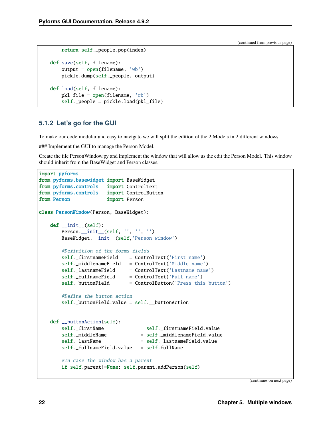```
return self._people.pop(index)
def save(self, filename):
    output = open(filename, 'wb')pickle.dump(self._people, output)
def load(self, filename):
    pkl_file = open(filename, 'rb')
    self\_people = pickle.load(pkl_file)
```
### <span id="page-25-0"></span>**5.1.2 Let's go for the GUI**

To make our code modular and easy to navigate we will split the edition of the 2 Models in 2 different windows.

### Implement the GUI to manage the Person Model.

Create the file PersonWindow.py and implement the window that will allow us the edit the Person Model. This window should inherit from the BaseWidget and Person classes.

```
import pyforms
from pyforms.basewidget import BaseWidget
from pyforms.controls import ControlText
from pyforms.controls import ControlButton
from Person import Person
class PersonWindow(Person, BaseWidget):
   def __init__(self):
       Person.__init__(self, '', '', '')
       BaseWidget.__init__(self,'Person window')
       #Definition of the forms fields
       self._firstnameField = ControlText('First name')
       self._middlenameField = ControlText('Middle name')
       self._lastnameField = ControlText('Lastname name')
       self._fullnameField = ControlText('Full name')
       self._buttonField = ControlButton('Press this button')
       #Define the button action
       self._buttonField.value = self.__buttonAction
   def __buttonAction(self):
       self._firstName = self._firstnameField.value
       self._middleName = self._middlenameField.value
       self._lastName = self._lastnameField.value
       self. fullnameField.value = self.fullName
       #In case the window has a parent
       if self.parent!=None: self.parent.addPerson(self)
```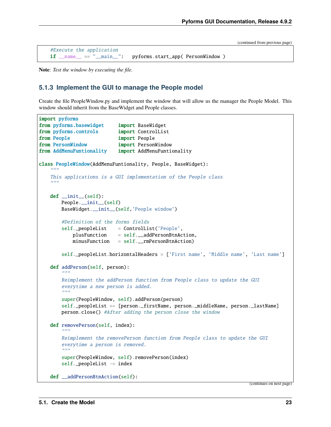#Execute the application  $if$   ${\sf __name__} == {\sf '__main__}$ : pyforms.start ${\sf _app}$ ( PersonWindow )

**Note**: *Test the window by executing the file.*

#### <span id="page-26-0"></span>**5.1.3 Implement the GUI to manage the People model**

Create the file PeopleWindow.py and implement the window that will allow us the manager the People Model. This window should inherit from the BaseWidget and People classes.

```
import pyforms
from pyforms.basewidget import BaseWidget
from pyforms.controls import ControlList
from People import People
from PersonWindow import PersonWindow
from AddMenuFuntionality import AddMenuFuntionality
class PeopleWindow(AddMenuFuntionality, People, BaseWidget):
    "'''"This applications is a GUI implementation of the People class
    "" "
   def __init__(self):
       People.__init__(self)
       BaseWidget.__init__(self,'People window')
       #Definition of the forms fields
       self._peopleList = ControlList('People',
           plusFunction = self.__addPersonBtnAction,minusFunction = self.__rmPersonBtnAction)self._peopleList.horizontalHeaders = ['First name', 'Middle name', 'Last name']
   def addPerson(self, person):
        "'''"Reimplement the addPerson function from People class to update the GUI
       everytime a new person is added.
        "''"''"super(PeopleWindow, self).addPerson(person)
       self._peopleList += [person._firstName, person._middleName, person._lastName]
       person.close() #After adding the person close the window
   def removePerson(self, index):
        "" "
       Reimplement the removePerson function from People class to update the GUI
        everytime a person is removed.
        "''"super(PeopleWindow, self).removePerson(index)
       self._peopleList -= index
   def __addPersonBtnAction(self):
```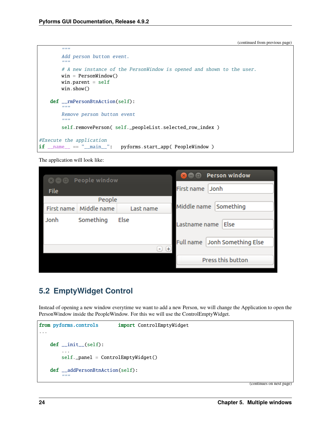```
Add person button event.
        "''"# A new instance of the PersonWindow is opened and shown to the user.
       win = PersonWindow()
       win.parent = selfwin.show()
   def __rmPersonBtnAction(self):
        "''"Remove person button event
        "''"self.removePerson( self._peopleList.selected_row_index )
#Execute the application
if __name__ == "__main__": pyforms.start_app( PeopleWindow )
```
The application will look like:

 $"''"$ 

|             | <b><sup>3</sup> ●</b> People window |           |      | <b>Person window</b><br>$x \ominus \square$ |
|-------------|-------------------------------------|-----------|------|---------------------------------------------|
| <b>File</b> |                                     |           |      | Jonh<br><b>First name</b>                   |
| People      |                                     |           |      |                                             |
| First name  | Middle name                         | Last name |      | Middle name<br>Something                    |
| Jonh        | Something                           | Else      |      | Lastname name Else                          |
|             |                                     |           | $ +$ | Jonh Something Else<br><b>Full name</b>     |
|             |                                     |           |      | Press this button                           |

# <span id="page-27-0"></span>**5.2 EmptyWidget Control**

Instead of opening a new window everytime we want to add a new Person, we will change the Application to open the PersonWindow inside the PeopleWindow. For this we will use the ControlEmptyWidget.

```
from pyforms.controls import ControlEmptyWidget
...
   def __init__(self):
        ...
       self._panel = ControlEmptyWidget()
   def __addPersonBtnAction(self):
        "''"
```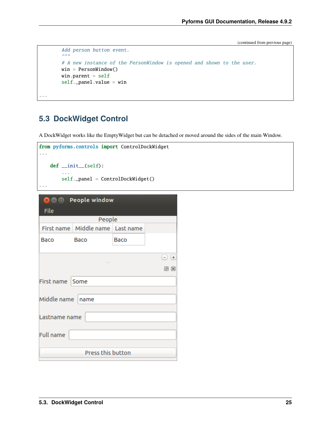```
Add person button event.
        "''"''"# A new instance of the PersonWindow is opened and shown to the user.
       win = PersonWindow()win.parent = self
        self._panel.value = win
...
```
# <span id="page-28-0"></span>**5.3 DockWidget Control**

A DockWidget works like the EmptyWidget but can be detached or moved around the sides of the main Window.



| <sup>⊗</sup> ● People window |                                  |      |     |  |  |  |
|------------------------------|----------------------------------|------|-----|--|--|--|
| File                         |                                  |      |     |  |  |  |
| People                       |                                  |      |     |  |  |  |
|                              | First name Middle name Last name |      |     |  |  |  |
| Baco                         | Baco                             | Baco |     |  |  |  |
|                              | $-1 +$                           |      |     |  |  |  |
|                              |                                  |      | 0 X |  |  |  |
| First name Some              |                                  |      |     |  |  |  |
| Middle name name             |                                  |      |     |  |  |  |
| Lastname name                |                                  |      |     |  |  |  |
| <b>Full name</b>             |                                  |      |     |  |  |  |
| Press this button            |                                  |      |     |  |  |  |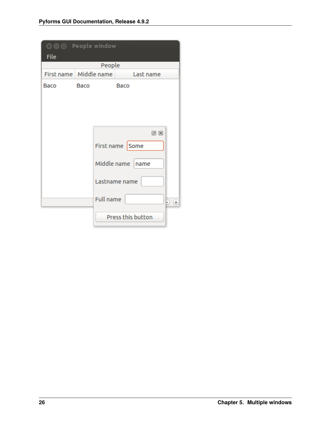| <b>3 ● ©</b> People window |             |                  |      |                   |               |  |
|----------------------------|-------------|------------------|------|-------------------|---------------|--|
| File                       |             |                  |      |                   |               |  |
| People                     |             |                  |      |                   |               |  |
| First name                 | Middle name |                  |      | Last name         |               |  |
| Baco                       | Baco        |                  | Baco |                   |               |  |
|                            |             |                  |      |                   |               |  |
|                            |             |                  |      |                   |               |  |
|                            |             |                  |      |                   |               |  |
|                            |             |                  |      |                   |               |  |
|                            |             |                  |      | 回因                |               |  |
|                            |             | First name Some  |      |                   |               |  |
|                            |             | Middle name name |      |                   |               |  |
|                            |             | Lastname name    |      |                   |               |  |
|                            |             | <b>Full name</b> |      |                   | $^\mathrm{+}$ |  |
|                            |             |                  |      | Press this button |               |  |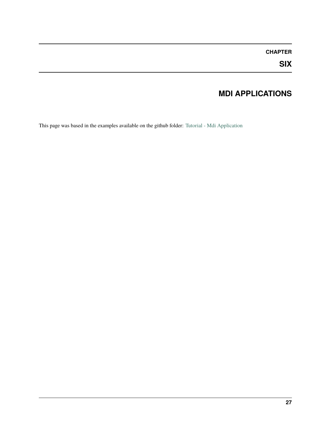**SIX**

# **MDI APPLICATIONS**

<span id="page-30-0"></span>This page was based in the examples available on the github folder: [Tutorial - Mdi Application](https://github.com/UmSenhorQualquer/pyforms/tree/v4/tutorials/4.MdiApplication)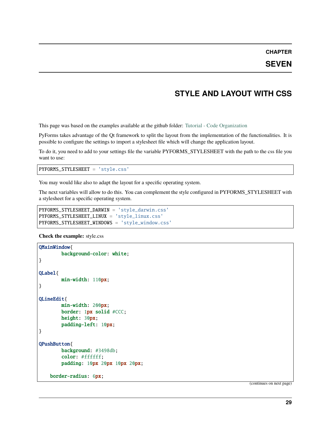### **SEVEN**

# **STYLE AND LAYOUT WITH CSS**

<span id="page-32-0"></span>This page was based on the examples available at the github folder: [Tutorial - Code Organization](https://github.com/UmSenhorQualquer/pyforms/tree/master/tutorials/3.CodeOrganization)

PyForms takes advantage of the Qt framework to split the layout from the implementation of the functionalities. It is possible to configure the settings to import a stylesheet file which will change the application layout.

To do it, you need to add to your settings file the variable PYFORMS\_STYLESHEET with the path to the css file you want to use:

PYFORMS\_STYLESHEET = 'style.css'

You may would like also to adapt the layout for a specific operating system.

The next variables will allow to do this. You can complement the style configured in PYFORMS\_STYLESHEET with a stylesheet for a specific operating system.

```
PYFORMS_STYLESHEET_DARWIN = 'style_darwin.css'
PYFORMS_STYLESHEET_LINUX = 'style_linux.css'
PYFORMS_STYLESHEET_WINDOWS = 'style_window.css'
```
**Check the example:** style.css

```
QMainWindow{
        background-color: white;
}
QLabel{
       min-width: 110px;
}
QLineEdit{
       min-width: 200px;
       border: 1px solid #CCC;
       height: 30px;
        padding-left: 10px;
}
QPushButton{
       background: #3498db;
        color: #ffffff;
       padding: 10px 20px 10px 20px;
   border-radius: 6px;
```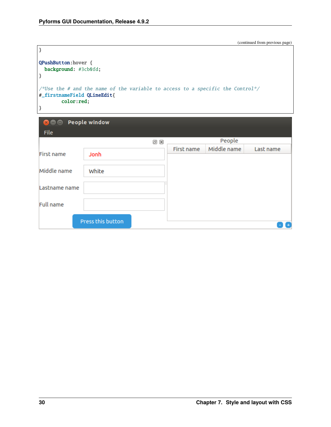

| <b>People window</b><br>800 |       |                                         |            |             |           |
|-----------------------------|-------|-----------------------------------------|------------|-------------|-----------|
| <b>File</b>                 |       |                                         |            |             |           |
|                             |       | $\textcircled{\scriptsize{\textsf{B}}}$ |            | People      |           |
| <b>First name</b>           | Jonh  |                                         | First name | Middle name | Last name |
|                             |       |                                         |            |             |           |
| Middle name                 | White |                                         |            |             |           |
| Lastname name               |       |                                         |            |             |           |
| <b>Full name</b>            |       |                                         |            |             |           |
| Press this button           |       |                                         |            |             |           |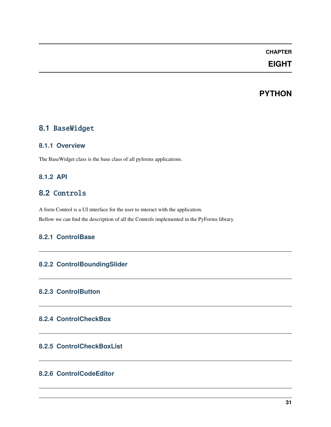# **EIGHT**

# **PYTHON**

# <span id="page-34-12"></span><span id="page-34-1"></span><span id="page-34-0"></span>**8.1** BaseWidget

### <span id="page-34-2"></span>**8.1.1 Overview**

The BaseWidget class is the base class of all pyforms applications.

### <span id="page-34-3"></span>**8.1.2 API**

# <span id="page-34-4"></span>**8.2** Controls

A form Control is a UI interface for the user to interact with the application. Bellow we can find the description of all the Controls implemented in the PyForms library.

#### <span id="page-34-11"></span><span id="page-34-5"></span>**8.2.1 ControlBase**

### <span id="page-34-6"></span>**8.2.2 ControlBoundingSlider**

# <span id="page-34-7"></span>**8.2.3 ControlButton**

### <span id="page-34-8"></span>**8.2.4 ControlCheckBox**

### <span id="page-34-9"></span>**8.2.5 ControlCheckBoxList**

### <span id="page-34-10"></span>**8.2.6 ControlCodeEditor**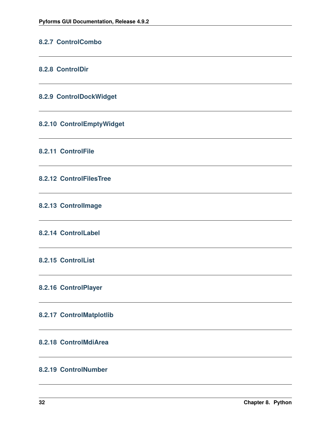# <span id="page-35-0"></span>**8.2.7 ControlCombo**

### <span id="page-35-1"></span>**8.2.8 ControlDir**

# <span id="page-35-2"></span>**8.2.9 ControlDockWidget**

### <span id="page-35-3"></span>**8.2.10 ControlEmptyWidget**

#### <span id="page-35-4"></span>**8.2.11 ControlFile**

# <span id="page-35-5"></span>**8.2.12 ControlFilesTree**

### <span id="page-35-6"></span>**8.2.13 ControlImage**

### <span id="page-35-7"></span>**8.2.14 ControlLabel**

#### <span id="page-35-8"></span>**8.2.15 ControlList**

#### <span id="page-35-9"></span>**8.2.16 ControlPlayer**

#### <span id="page-35-10"></span>**8.2.17 ControlMatplotlib**

### <span id="page-35-11"></span>**8.2.18 ControlMdiArea**

# <span id="page-35-12"></span>**8.2.19 ControlNumber**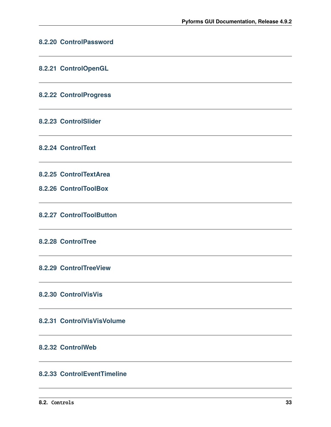### <span id="page-36-0"></span>**8.2.20 ControlPassword**

#### <span id="page-36-1"></span>**8.2.21 ControlOpenGL**

#### <span id="page-36-2"></span>**8.2.22 ControlProgress**

#### <span id="page-36-3"></span>**8.2.23 ControlSlider**

#### <span id="page-36-4"></span>**8.2.24 ControlText**

#### <span id="page-36-5"></span>**8.2.25 ControlTextArea**

#### <span id="page-36-6"></span>**8.2.26 ControlToolBox**

#### <span id="page-36-7"></span>**8.2.27 ControlToolButton**

### <span id="page-36-8"></span>**8.2.28 ControlTree**

### <span id="page-36-9"></span>**8.2.29 ControlTreeView**

### <span id="page-36-10"></span>**8.2.30 ControlVisVis**

### <span id="page-36-11"></span>**8.2.31 ControlVisVisVolume**

# <span id="page-36-12"></span>**8.2.32 ControlWeb**

### <span id="page-36-13"></span>**8.2.33 ControlEventTimeline**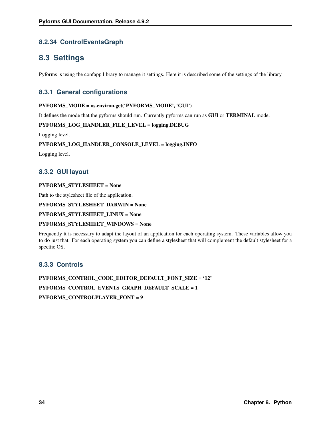# <span id="page-37-0"></span>**8.2.34 ControlEventsGraph**

# <span id="page-37-1"></span>**8.3 Settings**

Pyforms is using the confapp library to manage it settings. Here it is described some of the settings of the library.

# <span id="page-37-2"></span>**8.3.1 General configurations**

#### **PYFORMS\_MODE = os.environ.get('PYFORMS\_MODE', 'GUI')**

It defines the mode that the pyforms should run. Currently pyforms can run as **GUI** or **TERMINAL** mode.

#### PYFORMS LOG HANDLER FILE LEVEL = logging.DEBUG

Logging level.

#### **PYFORMS\_LOG\_HANDLER\_CONSOLE\_LEVEL = logging.INFO**

Logging level.

### <span id="page-37-3"></span>**8.3.2 GUI layout**

#### **PYFORMS\_STYLESHEET = None**

Path to the stylesheet file of the application.

#### **PYFORMS\_STYLESHEET\_DARWIN = None**

**PYFORMS\_STYLESHEET\_LINUX = None**

#### **PYFORMS\_STYLESHEET\_WINDOWS = None**

Frequently it is necessary to adapt the layout of an application for each operating system. These variables allow you to do just that. For each operating system you can define a stylesheet that will complement the default stylesheet for a specific OS.

#### <span id="page-37-4"></span>**8.3.3 Controls**

**PYFORMS\_CONTROL\_CODE\_EDITOR\_DEFAULT\_FONT\_SIZE = '12' PYFORMS\_CONTROL\_EVENTS\_GRAPH\_DEFAULT\_SCALE = 1 PYFORMS\_CONTROLPLAYER\_FONT = 9**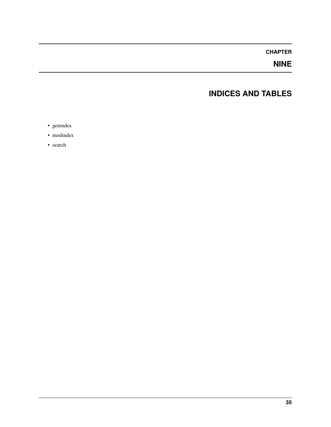# **NINE**

# **INDICES AND TABLES**

- <span id="page-38-0"></span>• genindex
- modindex
- search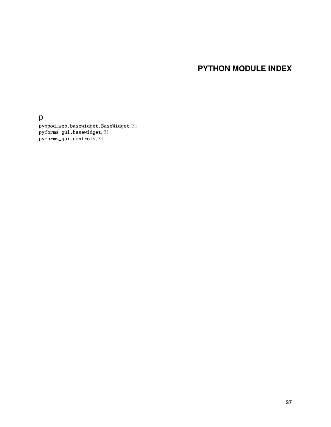# **PYTHON MODULE INDEX**

<span id="page-40-0"></span>p

pybpod\_web.basewidget.BaseWidget, [31](#page-34-0) pyforms\_gui.basewidget, [31](#page-34-1) pyforms\_gui.controls, [31](#page-34-11)